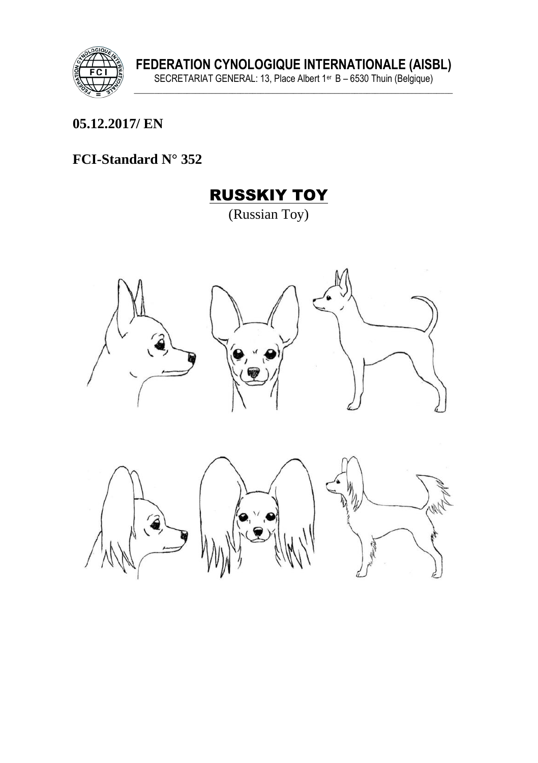

**05.12.2017/ EN**

# **FCI-Standard N° 352**



(Russian Toy)







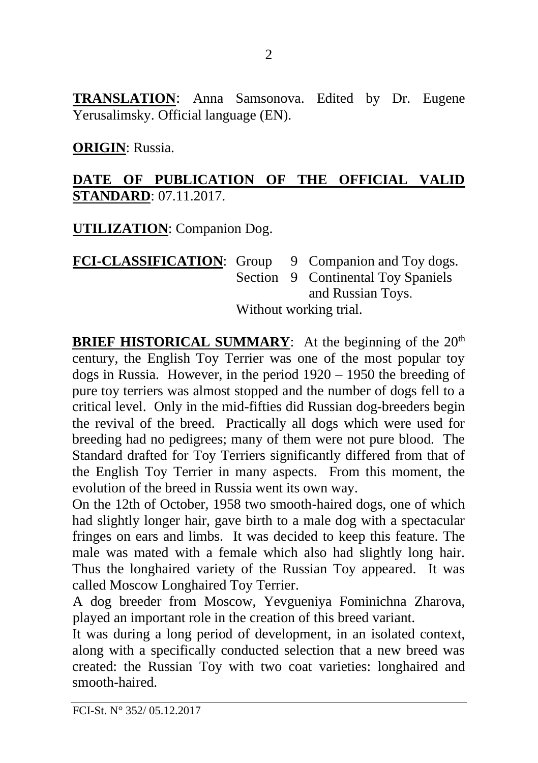**TRANSLATION**: Anna Samsonova. Edited by Dr. Eugene Yerusalimsky. Official language (EN).

**ORIGIN**: Russia.

## **DATE OF PUBLICATION OF THE OFFICIAL VALID STANDARD**: 07.11.2017.

**UTILIZATION**: Companion Dog.

## **FCI-CLASSIFICATION:** Group 9 Companion and Toy dogs. Section 9 Continental Toy Spaniels and Russian Toys. Without working trial.

**BRIEF HISTORICAL SUMMARY:** At the beginning of the 20<sup>th</sup> century, the English Toy Terrier was one of the most popular toy dogs in Russia. However, in the period 1920 – 1950 the breeding of pure toy terriers was almost stopped and the number of dogs fell to a critical level. Only in the mid-fifties did Russian dog-breeders begin the revival of the breed. Practically all dogs which were used for breeding had no pedigrees; many of them were not pure blood. The Standard drafted for Toy Terriers significantly differed from that of the English Toy Terrier in many aspects. From this moment, the evolution of the breed in Russia went its own way.

On the 12th of October, 1958 two smooth-haired dogs, one of which had slightly longer hair, gave birth to a male dog with a spectacular fringes on ears and limbs. It was decided to keep this feature. The male was mated with a female which also had slightly long hair. Thus the longhaired variety of the Russian Toy appeared. It was called Moscow Longhaired Toy Terrier.

A dog breeder from Moscow, Yevgueniya Fominichna Zharova, played an important role in the creation of this breed variant.

It was during a long period of development, in an isolated context, along with a specifically conducted selection that a new breed was created: the Russian Toy with two coat varieties: longhaired and smooth-haired.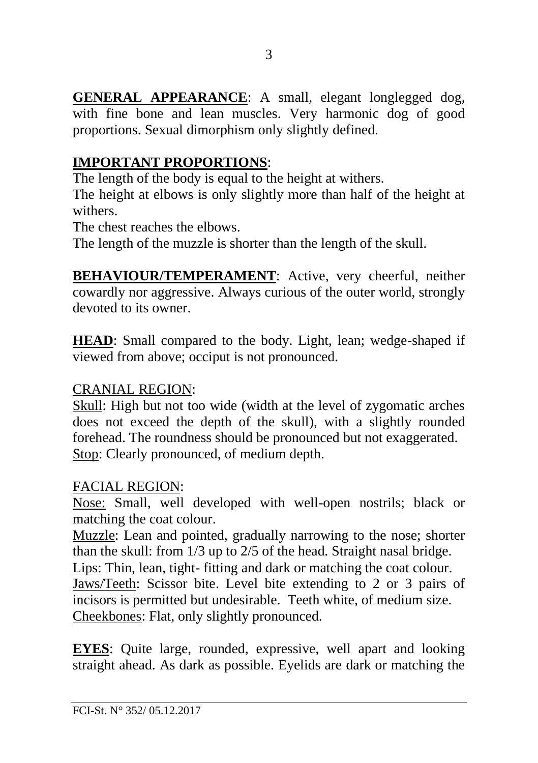**GENERAL APPEARANCE**: A small, elegant longlegged dog, with fine bone and lean muscles. Very harmonic dog of good proportions. Sexual dimorphism only slightly defined.

# **IMPORTANT PROPORTIONS**:

The length of the body is equal to the height at withers.

The height at elbows is only slightly more than half of the height at withers.

The chest reaches the elbows.

The length of the muzzle is shorter than the length of the skull.

**BEHAVIOUR/TEMPERAMENT**: Active, very cheerful, neither cowardly nor aggressive. Always curious of the outer world, strongly devoted to its owner

**HEAD**: Small compared to the body. Light, lean; wedge-shaped if viewed from above; occiput is not pronounced.

## CRANIAL REGION:

Skull: High but not too wide (width at the level of zygomatic arches does not exceed the depth of the skull), with a slightly rounded forehead. The roundness should be pronounced but not exaggerated. Stop: Clearly pronounced, of medium depth.

## FACIAL REGION:

Nose: Small, well developed with well-open nostrils; black or matching the coat colour.

Muzzle: Lean and pointed, gradually narrowing to the nose; shorter than the skull: from 1/3 up to 2/5 of the head. Straight nasal bridge. Lips: Thin, lean, tight- fitting and dark or matching the coat colour. Jaws/Teeth: Scissor bite. Level bite extending to 2 or 3 pairs of incisors is permitted but undesirable. Teeth white, of medium size. Cheekbones: Flat, only slightly pronounced.

**EYES**: Quite large, rounded, expressive, well apart and looking straight ahead. As dark as possible. Eyelids are dark or matching the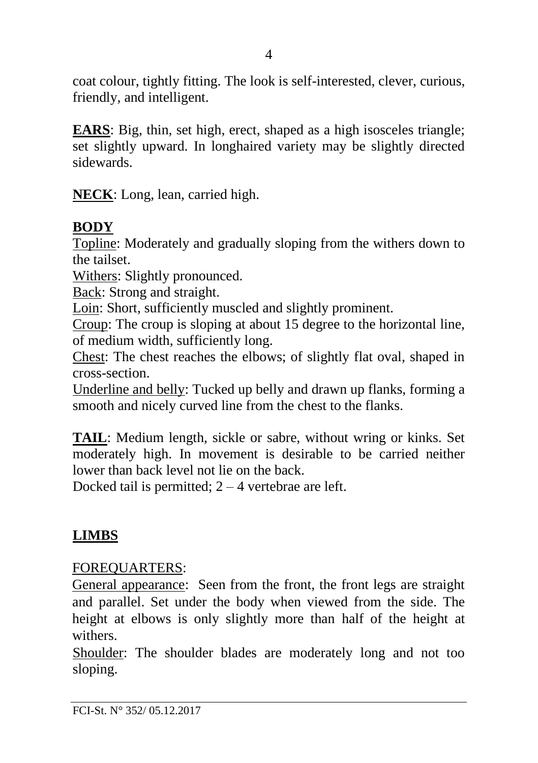coat colour, tightly fitting. The look is self-interested, clever, curious, friendly, and intelligent.

**EARS**: Big, thin, set high, erect, shaped as a high isosceles triangle; set slightly upward. In longhaired variety may be slightly directed sidewards.

**NECK**: Long, lean, carried high.

## **BODY**

Topline: Moderately and gradually sloping from the withers down to the tailset.

Withers: Slightly pronounced.

Back: Strong and straight.

Loin: Short, sufficiently muscled and slightly prominent.

Croup: The croup is sloping at about 15 degree to the horizontal line, of medium width, sufficiently long.

Chest: The chest reaches the elbows; of slightly flat oval, shaped in cross-section.

Underline and belly: Tucked up belly and drawn up flanks, forming a smooth and nicely curved line from the chest to the flanks.

**TAIL**: Medium length, sickle or sabre, without wring or kinks. Set moderately high. In movement is desirable to be carried neither lower than back level not lie on the back.

Docked tail is permitted;  $2 - 4$  vertebrae are left.

## **LIMBS**

## FOREQUARTERS:

General appearance: Seen from the front, the front legs are straight and parallel. Set under the body when viewed from the side. The height at elbows is only slightly more than half of the height at withers.

Shoulder: The shoulder blades are moderately long and not too sloping.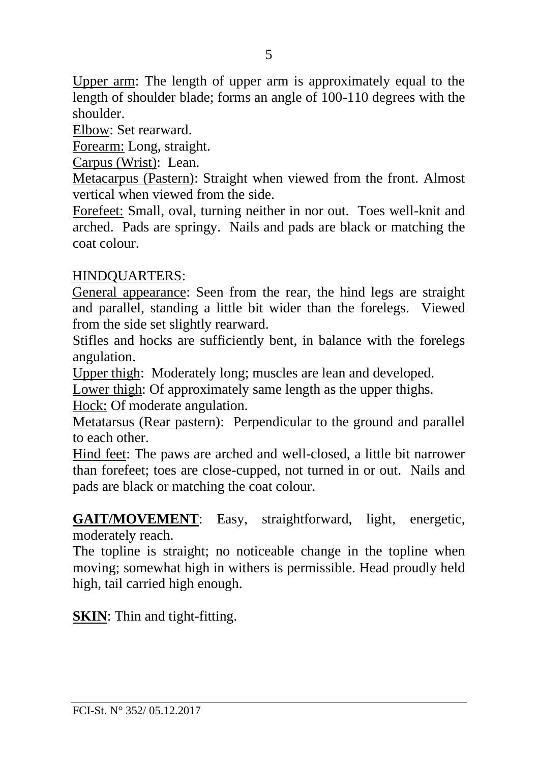Upper arm: The length of upper arm is approximately equal to the length of shoulder blade; forms an angle of 100-110 degrees with the shoulder.

Elbow: Set rearward.

Forearm: Long, straight.

Carpus (Wrist): Lean.

Metacarpus (Pastern): Straight when viewed from the front. Almost vertical when viewed from the side.

Forefeet: Small, oval, turning neither in nor out. Toes well-knit and arched. Pads are springy. Nails and pads are black or matching the coat colour.

#### HINDQUARTERS:

General appearance: Seen from the rear, the hind legs are straight and parallel, standing a little bit wider than the forelegs. Viewed from the side set slightly rearward.

Stifles and hocks are sufficiently bent, in balance with the forelegs angulation.

Upper thigh: Moderately long; muscles are lean and developed.

Lower thigh: Of approximately same length as the upper thighs.

Hock: Of moderate angulation.

Metatarsus (Rear pastern): Perpendicular to the ground and parallel to each other.

Hind feet: The paws are arched and well-closed, a little bit narrower than forefeet; toes are close-cupped, not turned in or out. Nails and pads are black or matching the coat colour.

**GAIT/MOVEMENT**: Easy, straightforward, light, energetic, moderately reach.

The topline is straight; no noticeable change in the topline when moving; somewhat high in withers is permissible. Head proudly held high, tail carried high enough.

**SKIN**: Thin and tight-fitting.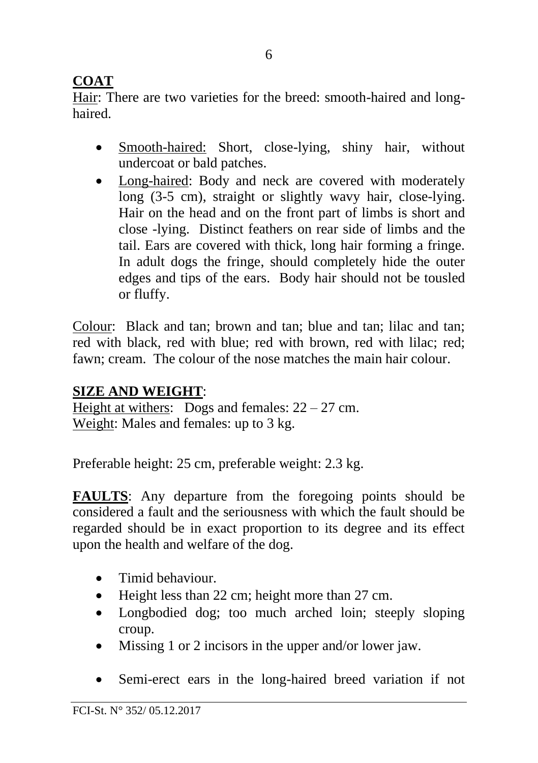# **COAT**

Hair: There are two varieties for the breed: smooth-haired and longhaired.

- Smooth-haired: Short, close-lying, shiny hair, without undercoat or bald patches.
- Long-haired: Body and neck are covered with moderately long (3-5 cm), straight or slightly wavy hair, close-lying. Hair on the head and on the front part of limbs is short and close -lying. Distinct feathers on rear side of limbs and the tail. Ears are covered with thick, long hair forming a fringe. In adult dogs the fringe, should completely hide the outer edges and tips of the ears. Body hair should not be tousled or fluffy.

Colour: Black and tan; brown and tan; blue and tan; lilac and tan; red with black, red with blue; red with brown, red with lilac; red; fawn; cream. The colour of the nose matches the main hair colour.

# **SIZE AND WEIGHT**:

Height at withers: Dogs and females:  $22 - 27$  cm. Weight: Males and females: up to 3 kg.

Preferable height: 25 cm, preferable weight: 2.3 kg.

**FAULTS**: Any departure from the foregoing points should be considered a fault and the seriousness with which the fault should be regarded should be in exact proportion to its degree and its effect upon the health and welfare of the dog.

- Timid behaviour
- Height less than 22 cm; height more than 27 cm.
- Longbodied dog; too much arched loin; steeply sloping croup.
- Missing 1 or 2 incisors in the upper and/or lower jaw.
- Semi-erect ears in the long-haired breed variation if not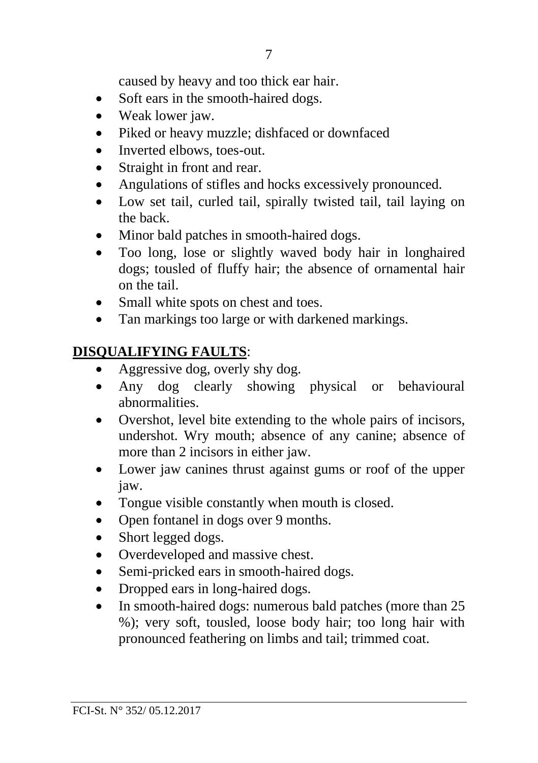caused by heavy and too thick ear hair.

- Soft ears in the smooth-haired dogs.
- Weak lower jaw.
- Piked or heavy muzzle; dishfaced or downfaced
- Inverted elbows, toes-out.
- Straight in front and rear.
- Angulations of stifles and hocks excessively pronounced.
- Low set tail, curled tail, spirally twisted tail, tail laying on the back.
- Minor bald patches in smooth-haired dogs.
- Too long, lose or slightly waved body hair in longhaired dogs; tousled of fluffy hair; the absence of ornamental hair on the tail.
- Small white spots on chest and toes.
- Tan markings too large or with darkened markings.

# **DISQUALIFYING FAULTS**:

- Aggressive dog, overly shy dog.
- Any dog clearly showing physical or behavioural abnormalities.
- Overshot, level bite extending to the whole pairs of incisors, undershot. Wry mouth; absence of any canine; absence of more than 2 incisors in either jaw.
- Lower jaw canines thrust against gums or roof of the upper jaw.
- Tongue visible constantly when mouth is closed.
- Open fontanel in dogs over 9 months.
- Short legged dogs.
- Overdeveloped and massive chest.
- Semi-pricked ears in smooth-haired dogs.
- Dropped ears in long-haired dogs.
- In smooth-haired dogs: numerous bald patches (more than 25 %); very soft, tousled, loose body hair; too long hair with pronounced feathering on limbs and tail; trimmed coat.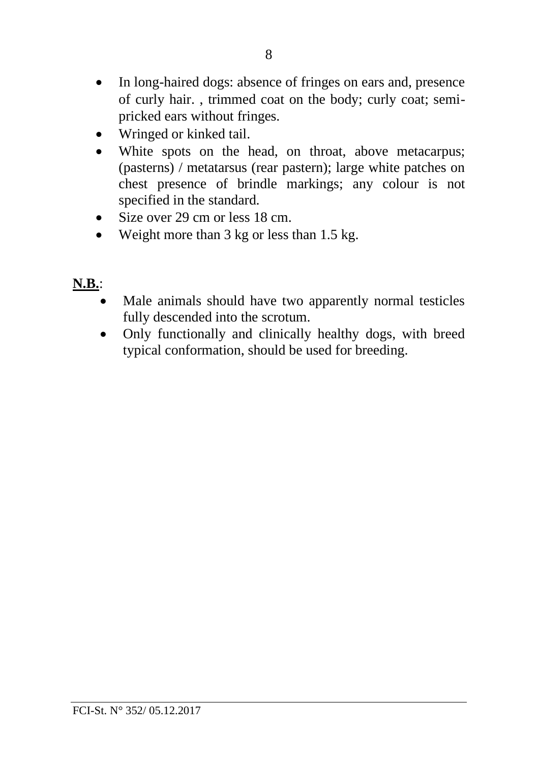- In long-haired dogs: absence of fringes on ears and, presence of curly hair. , trimmed coat on the body; curly coat; semipricked ears without fringes.
- Wringed or kinked tail.
- White spots on the head, on throat, above metacarpus; (pasterns) / metatarsus (rear pastern); large white patches on chest presence of brindle markings; any colour is not specified in the standard.
- Size over 29 cm or less 18 cm.
- Weight more than 3 kg or less than 1.5 kg.

## **N.B.**:

- Male animals should have two apparently normal testicles fully descended into the scrotum.
- Only functionally and clinically healthy dogs, with breed typical conformation, should be used for breeding.